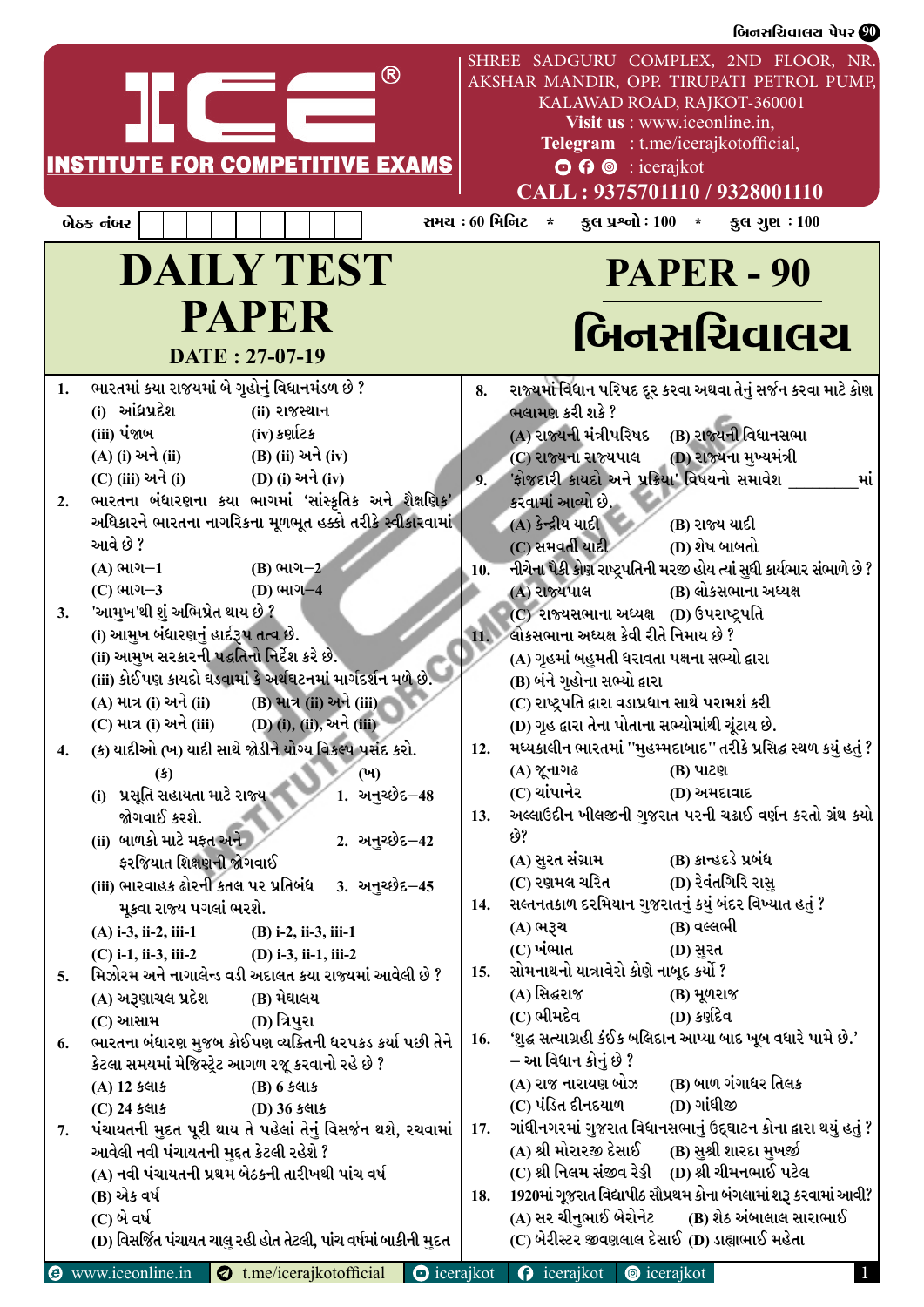|    |                                               |                                                                    | બિનસચિવાલચ પેપર <sup>00</sup>                                                                                                                                                                                                                                   |
|----|-----------------------------------------------|--------------------------------------------------------------------|-----------------------------------------------------------------------------------------------------------------------------------------------------------------------------------------------------------------------------------------------------------------|
|    |                                               | <b>INSTITUTE FOR COMPETITIVE EXAMS</b>                             | SHREE SADGURU COMPLEX, 2ND FLOOR, NR.<br>AKSHAR MANDIR, OPP. TIRUPATI PETROL PUMP,<br>KALAWAD ROAD, RAJKOT-360001<br>Visit us : www.iceonline.in,<br>Telegram : t.me/icerajkotofficial,<br>$\odot$ $\odot$ $\odot$ : icerajkot<br>CALL: 9375701110 / 9328001110 |
|    | બેઠક નંબર                                     |                                                                    | સમય : 60 મિનિટ<br>કુલ પ્રશ્નો : $100 *$<br>કુલ ગુણ $:100$<br>$\star$                                                                                                                                                                                            |
|    |                                               | <b>DAILY TEST</b>                                                  | <b>PAPER - 90</b>                                                                                                                                                                                                                                               |
|    |                                               | <b>PAPER</b><br>DATE: 27-07-19                                     | બિનસચિવાલચ                                                                                                                                                                                                                                                      |
|    | ભારતમાં કયા રાજયમાં બે ગૃહોનું વિધાનમંડળ છે ? |                                                                    | 8. રાજ્યમાં વિધાન પરિષદ દૂર કરવા અથવા તેનું સર્જન કરવા માટે કોણ                                                                                                                                                                                                 |
|    | (i) આંધ્રપ્રદેશ                               | (ii) રાજસ્થાન                                                      | ભલામણ કરી શકે ?                                                                                                                                                                                                                                                 |
|    | (iii) પંજાબ                                   | (iv) કર્ણાટક                                                       | (B) રાજ્યની વિધાનસભા<br>(A) રાજ્યની મંત્રીપરિષદ                                                                                                                                                                                                                 |
|    | (A) (i) અને (ii)                              | (B) (ii) અને (iv)                                                  | (D) રાજ્યના મુખ્યમંત્રી<br>(C) રાજ્યના રાજ્યપાલ                                                                                                                                                                                                                 |
|    | (C) (iii) અને (i)                             | (D) (i) અને (iv)                                                   | 9. 'ફોજદારી કાયદો અને પ્રક્રિયા' વિષયનો સમાવેશ                                                                                                                                                                                                                  |
|    |                                               | ભારતના બંધારણના કયા ભાગમાં 'સાંસ્કૃતિક અને શૈક્ષણિક'               | કરવામાં આવ્યો છે.                                                                                                                                                                                                                                               |
|    |                                               | અધિકારને ભારતના નાગરિકના મૂળભૂત હક્કો તરીકે સ્વીકારવામાં           | (A) કેન્દ્રીય યાદી<br>(B) રાજ્ય યાદી                                                                                                                                                                                                                            |
|    | આવે છે ?                                      |                                                                    | (C) સમવર્તી યાદી<br>(D) શેષ બાબતો                                                                                                                                                                                                                               |
|    | $(A)$ ભાગ $-1$                                | $(B)$ ભાગ $-2$                                                     | નીચેના પૈકી કોણ રાષ્ટ્રપતિની મરજી હોય ત્યાં સુધી કાર્યભાર સંભાળે છે ?                                                                                                                                                                                           |
|    | $(C)$ ભાગ $-3$                                | (D) ભાગ-4                                                          | (B) લોકસભાના અધ્યક્ષ<br>(A) રાજ્યપાલ                                                                                                                                                                                                                            |
| 3. | 'આમુખ'થી શું અભિપ્રેત થાય છે ?                |                                                                    | (C) રાજ્યસભાના અધ્યક્ષ (D) ઉપરાષ્ટ્રપતિ                                                                                                                                                                                                                         |
|    | (i) આમુખ બંધારણનું હાર્દરૂપ તત્વ છે.          |                                                                    | ાા. બોકસભાના અધ્યક્ષ કેવી રીતે નિમાય છે ?                                                                                                                                                                                                                       |
|    | (ii) આમુખ સરકારની પદ્ધતિનો નિર્દેશ કરે છે.    |                                                                    | (A) ગૃહમાં બહુમતી ધરાવતા પક્ષના સભ્યો દ્વારા                                                                                                                                                                                                                    |
|    |                                               | (iii) કોઈપણ કાયદો ઘડવામાં કે અર્થઘટનમાં માર્ગદર્શન મળે છે.         | (B) બંને ગૃહોના સભ્યો દ્વારા                                                                                                                                                                                                                                    |
|    | (A) માત્ર (i) અને (ii)                        | (B) માત્ર (ii) અને (iii)                                           | (C) રાષ્ટ્રપતિ દ્વારા વડાપ્રધાન સાથે પરામર્શ કરી                                                                                                                                                                                                                |
|    |                                               | (C) માત્ર (i) અને (iii) (D) (i), (ii), અને (iii)                   | (D) ગૃહ દ્વારા તેના પોતાના સભ્યોમાંથી ચૂંટાય છે.                                                                                                                                                                                                                |
| 4. |                                               | (ક) યાદીઓ (ખ) યાદી સાથે જોડીને યોગ્ય વિકલ્પ પસંદ કરો.              | 12. મધ્યકાલીન ભારતમાં ''મુહમ્મદાબાદ'' તરીકે પ્રસિદ્ધ સ્થળ કયું હતું ?                                                                                                                                                                                           |
|    | $\left( \mathbf{\mathfrak{s}}\right)$         |                                                                    | (A) જૂનાગઢ<br>(B) પાટણ                                                                                                                                                                                                                                          |
|    | (i) પ્રસૂતિ સહાયતા માટે રાજ્ય                 | 1. અનુચ્છેદ−48                                                     | (C) ચાંપાનેર<br>(D) અમદાવાદ                                                                                                                                                                                                                                     |
|    | જોગવાઈ કરશે.                                  |                                                                    | 13. અલ્લાઉદીન ખીલજીની ગુજરાત પરની ચઢાઈ વર્ણન કરતો ગ્રંથ કયો                                                                                                                                                                                                     |
|    | (ii) બાળકો માટે મફત અને                       | 2. અનુચ્છેદ <b>–42</b>                                             | છે?                                                                                                                                                                                                                                                             |
|    | ફરજિયાત શિક્ષણની જોગવાઈ                       |                                                                    | (B) કાન્હદડે પ્રબંધ<br>(A) સુરત સંગ્રામ                                                                                                                                                                                                                         |
|    | (iii) ભારવાહક ઢોરની કતલ પર પ્રતિબંધ           | <u>3. અનુચ્છેદ–45</u>                                              | (D) રેવંતગિરિ રાસુ<br>(C) રણમલ ચરિત                                                                                                                                                                                                                             |
|    | મૂકવા રાજ્ય પગલાં ભરશે.                       |                                                                    | 14. સલ્તનતકાળ દરમિયાન ગુજરાતનું કયું બંદર વિખ્યાત હતું ?                                                                                                                                                                                                        |
|    | $(A)$ i-3, ii-2, iii-1                        | $(B)$ i-2, ii-3, iii-1                                             | (B) વલ્લભી<br>(A) ભરૂચ                                                                                                                                                                                                                                          |
|    | $(C)$ i-1, ii-3, iii-2                        | $(D)$ i-3, ii-1, iii-2                                             | (C) ખંભાત<br>(D) સુરત                                                                                                                                                                                                                                           |
| 5. |                                               | મિઝોરમ અને નાગાલેન્ડ વડી અદાલત કયા રાજ્યમાં આવેલી છે ?             | 15. સોમનાથનો યાત્રાવેરો કોણે નાબૂદ કર્યો ?                                                                                                                                                                                                                      |
|    | (A) અરૂણાચલ પ્રદેશ                            | (B) મેઘાલય                                                         | (A) સિદ્ધરાજ<br>(B) મૂળરાજ                                                                                                                                                                                                                                      |
|    | (C) આસામ                                      | (D) ત્રિપુરા                                                       | (C) ભીમદેવ<br>(D) કર્ણદેવ                                                                                                                                                                                                                                       |
|    |                                               | ભારતના બંધારણ મુજબ કોઈપણ વ્યક્તિની ધરપકડ કર્યા પછી તેને            | 16. 'શુદ્ધ સત્યાગ્રહી કંઈક બલિદાન આપ્યા બાદ ખૂબ વધારે પામે છે.'                                                                                                                                                                                                 |
|    |                                               | કેટલા સમયમાં મેજિસ્ટ્રેટ આગળ રજૂ કરવાનો રહે છે ?                   | – આ વિધાન કોનું છે ?                                                                                                                                                                                                                                            |
|    | (A) 12 કલાક                                   | (B) 6 કલાક                                                         | (A) રાજ નારાયણ બોઝ<br>(B) બાળ ગંગાધર તિલક                                                                                                                                                                                                                       |
|    | $(C)$ 24 કલાક                                 | (D) 36 કલાક                                                        | (C) પંડિત દીનદયાળ<br>(D) ગાંધીજી                                                                                                                                                                                                                                |
|    |                                               | પંચાયતની મુદત પૂરી થાય તે પહેલાં તેનું વિસર્જન થશે, રચવામાં $\mid$ | ગાંધીનગરમાં ગુજરાત વિધાનસભાનું ઉદ્દઘાટન કોના <b>દ્વારા થયું હતું</b> ?                                                                                                                                                                                          |
|    | આવેલી નવી પંચાયતની મુદ્દત કેટલી રહેશે ?       |                                                                    | (A) શ્રી મોરારજી દેસાઈ<br>(B) સુશ્રી શારદા મુખર્જી                                                                                                                                                                                                              |
|    |                                               | (A) નવી પંચાયતની પ્રથમ બેઠકની તારીખથી પાંચ વર્ષ                    | (C) શ્રી નિલમ સંજીવ રેડ્ડી (D) શ્રી ચીમનભાઈ પટેલ                                                                                                                                                                                                                |
|    | (B) એક વર્ષ                                   |                                                                    | 18. 1920માં ગૂજરાત વિદ્યાપીઠ સૌપ્રથમ કોના બંગલામાં શરૂ કરવામાં આવી?                                                                                                                                                                                             |
|    | (C) બે વર્ષ                                   |                                                                    | (A) સર ચીનુભાઈ બેરોનેટ<br>(B) શેઠ અંબાલાલ સારાભાઈ                                                                                                                                                                                                               |
|    |                                               | (D) વિસર્જિત પંચાયત ચાલુ રહી હોત તેટલી, પાંચ વર્ષમાં બાકીની મુદત   | (C) બેરીસ્ટર જીવણલાલ દેસાઈ (D) ડાહ્યાભાઈ મહેતા                                                                                                                                                                                                                  |
|    |                                               |                                                                    |                                                                                                                                                                                                                                                                 |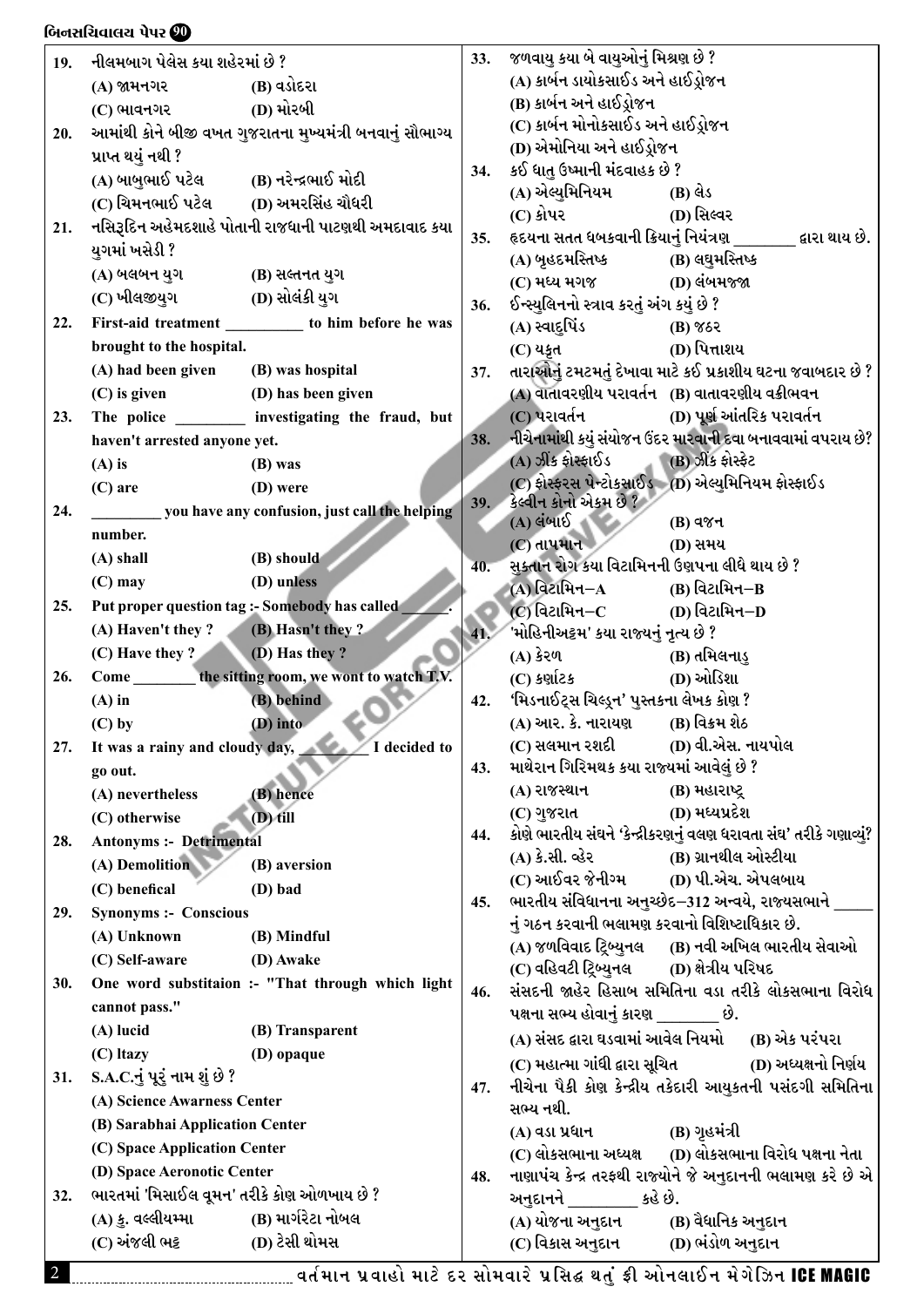### lAG;lRJF,I 5[5Z **90** lAG;lRJF,I 5[5Z **90**

| 19. | નીલમબાગ પેલેસ કયા શહેરમાં છે ?             |                                                           |                                                                  | જળવાયુ કયા બે વાયુઓનું મિશ્રણ છે ?<br>33.                                       |                                                                       |  |  |  |
|-----|--------------------------------------------|-----------------------------------------------------------|------------------------------------------------------------------|---------------------------------------------------------------------------------|-----------------------------------------------------------------------|--|--|--|
|     | $(A)$ જામનગર $(B)$ વડોદરા                  |                                                           |                                                                  | (A) કાર્બન ડાયોકસાઈડ અને હાઈડ્રોજન                                              |                                                                       |  |  |  |
|     | $(C)$ ભાવનગર $(D)$ મોરબી                   |                                                           |                                                                  | (B) કાર્બન અને હાઈડ્રોજન                                                        |                                                                       |  |  |  |
| 20. |                                            | આમાંથી કોને બીજી વખત ગુજરાતના મુખ્યમંત્રી બનવાનું સૌભાગ્ય |                                                                  | (C) કાર્બન મોનોકસાઈડ અને હાઈડ્રોજન                                              |                                                                       |  |  |  |
|     | પ્રાપ્ત થયું નથી ?                         |                                                           |                                                                  | (D) એમોનિયા અને હાઈડ્રોજન                                                       |                                                                       |  |  |  |
|     | (A) બાબુભાઈ પટેલ (B) નરેન્દ્રભાઈ મોદી      |                                                           | 34.                                                              | કઈ ધાતુ ઉષ્માની મંદવાહક છે ?                                                    |                                                                       |  |  |  |
|     | (C) ચિમનભાઈ પટેલ         (D) અમરસિંહ ચૌધરી |                                                           |                                                                  | (A) એલ્યુમિનિયમ                                                                 | (B) લેડ                                                               |  |  |  |
| 21. |                                            | નસિરૂદિન અહેમદશાહે પોતાની રાજધાની પાટણથી અમદાવાદ કયા      |                                                                  | $(C)$ કોપર                                                                      | (D) સિલ્વર                                                            |  |  |  |
|     | યુગમાં ખસેડી ?                             |                                                           | 35.                                                              |                                                                                 | હૃદયના સતત ધબકવાની ક્રિયાનું નિયંત્રણ _______ દ્વારા થાય છે.          |  |  |  |
|     | (A) બલબન યુગ (B) સલ્તનત યુગ                |                                                           |                                                                  | (A) બૃહદમસ્તિષ્ક                           (B) લઘુમસ્તિષ્ક                      |                                                                       |  |  |  |
|     |                                            |                                                           |                                                                  | (C) મધ્ય મગજ (D) લંબમજ્જા                                                       |                                                                       |  |  |  |
| 22. |                                            | First-aid treatment ____________ to him before he was     | 36.                                                              | ઈન્સ્યુલિનનો સ્ત્રાવ કરતું અંગ કયું છે ?                                        |                                                                       |  |  |  |
|     | brought to the hospital.                   |                                                           |                                                                  | (A) સ્વાદુપિંડ                                                                  | $(B)$ %&<br>(D) પિત્તાશય                                              |  |  |  |
|     | (A) had been given (B) was hospital        |                                                           | 37.                                                              | $(C)$ યકૃત                                                                      | તારાઓનું ટમટમતું દેખાવા માટે કઈ પ્રકાશીય ઘટના જવાબદાર છે ?            |  |  |  |
|     | (C) is given (D) has been given            |                                                           |                                                                  |                                                                                 | (A) વાતાવરણીય પરાવર્તન (B) વાતાવરણીય વક્રીભવન                         |  |  |  |
|     |                                            | The police __________ investigating the fraud, but        |                                                                  | (C) પરાવર્તન                                                                    | (D) પૂર્ણ આંતરિક પરાવર્તન                                             |  |  |  |
| 23. | haven't arrested anyone yet.               |                                                           |                                                                  |                                                                                 | 38. નીચેનામાંથી કયું સંયોજન ઉંદર મારવાની દવા બનાવવામાં વપરાય છે?      |  |  |  |
|     |                                            |                                                           |                                                                  | (A) ઝીંક ફોરફાઈડ                                                                | (B) ઝીંક ફોરફેટ                                                       |  |  |  |
|     | $(A)$ is                                   | (B) was                                                   |                                                                  |                                                                                 | (C) ફોરફરસ પેન્ટોકસાઈડ (D) એલ્યુમિનિયમ ફોરફાઈડ                        |  |  |  |
|     | $(C)$ are                                  | (D) were                                                  | 39.                                                              | કેલ્વીન કોનો એકમ છે ?                                                           |                                                                       |  |  |  |
| 24. |                                            | you have any confusion, just call the helping             |                                                                  | $(A)$ લંબાઈ                                                                     | <b>(B)</b> વજન                                                        |  |  |  |
|     | number.                                    |                                                           |                                                                  | $\overline{\mathcal{C}}$ ) તાપમાન                                               | (D) સમય                                                               |  |  |  |
|     | $(A)$ shall                                | (B) should                                                | 40.                                                              | સુક્તાન રોગ કયા વિટામિનની ઉણપના લીધે થાય છે ?                                   |                                                                       |  |  |  |
|     | $(C)$ may                                  | (D) unless                                                |                                                                  | (A) વિટામિન $-A$ (B) વિટામિન $-B$                                               |                                                                       |  |  |  |
| 25. |                                            | Put proper question tag :- Somebody has called            |                                                                  | (C) વિટામિન $-C$ (D) વિટામિન $-D$                                               |                                                                       |  |  |  |
|     | (A) Haven't they ? (B) Hasn't they ?       |                                                           | 41.                                                              | 'મોહિનીઅટ્ટમ' કયા રાજ્યનું નૃત્ય છે ?                                           |                                                                       |  |  |  |
|     | $(C)$ Have they ? (D) Has they ?           |                                                           |                                                                  | $(A)$ કેરળ                                                                      | (B) તમિલનાડુ                                                          |  |  |  |
| 26. |                                            | Come the sitting room, we wont to watch T.V.              |                                                                  | $(C)$ કર્ણાટક                                                                   | (D) ઓડિશા                                                             |  |  |  |
|     | $(A)$ in                                   | (B) behind                                                | 42.                                                              | 'મિડનાઈટ્સ ચિલ્ડ્રન' પુસ્તકના લેખક કોણ ?                                        |                                                                       |  |  |  |
|     | $(C)$ by                                   | $(D)$ into                                                |                                                                  | (A) આર. કે. નારાયણ (B) વિક્રમ શેઠ                                               |                                                                       |  |  |  |
|     |                                            | 27. It was a rainy and cloudy day, $\sqrt{1}$ decided to  |                                                                  | (C) સલમાન રશદી              (D) વી.એસ. નાયપોલ                                   |                                                                       |  |  |  |
|     | go out.                                    |                                                           | 43.                                                              | માથેરાન ગિરિમથક કયા રાજ્યમાં આવેલું છે ?                                        |                                                                       |  |  |  |
|     | (A) nevertheless                           | (B) hence                                                 |                                                                  | (A) રાજસ્થાન                                                                    | (B) મહારાષ્ટ્ર                                                        |  |  |  |
|     | (C) otherwise                              | $(D)$ till                                                |                                                                  | (C) ગુજરાત                                                                      | (D) મધ્યપ્રદેશ                                                        |  |  |  |
| 28. | <b>Antonyms :- Detrimental</b>             |                                                           | 44.                                                              |                                                                                 | કોણે ભારતીય સંઘને 'કેન્દ્રીકરણનું વલણ ધરાવતા સંઘ' તરીકે ગણાવ્યું?     |  |  |  |
|     | (A) Demolition                             | (B) aversion                                              |                                                                  | (A) કે.સી. વ્હેર                       (B) ગ્રાનથીલ ઓસ્ટીયા<br>(C) આઈવર જેનીગ્મ | (D) પી.એચ. એપલબાય                                                     |  |  |  |
|     | (C) benefical                              | (D) bad                                                   |                                                                  |                                                                                 | ભારતીય સંવિધાનના અનુચ્છેદ–312 અન્વયે, રાજ્યસભાને ____                 |  |  |  |
| 29. | <b>Synonyms :- Conscious</b>               |                                                           | 45.                                                              | નું ગઠન કરવાની ભલામણ કરવાનો વિશિષ્ટાધિકાર છે.                                   |                                                                       |  |  |  |
|     | (A) Unknown                                | (B) Mindful                                               |                                                                  |                                                                                 | (A) જળવિવાદ ટ્રિબ્યુનલ      (B) નવી અખિલ ભારતીય સેવાઓ                 |  |  |  |
|     | (C) Self-aware                             | (D) Awake                                                 |                                                                  | (C) વહિવટી ટ્રિબ્યુનલ         (D) ક્ષેત્રીય પરિષદ                               |                                                                       |  |  |  |
| 30. |                                            | One word substitaion :- "That through which light         | 46.                                                              |                                                                                 | સંસદની જાહેર હિસાબ સમિતિના વડા તરીકે લોકસભાના વિરોધ                   |  |  |  |
|     | cannot pass."                              |                                                           |                                                                  | પક્ષના સભ્ય હોવાનું કારણ _______ છે.                                            |                                                                       |  |  |  |
|     | (A) lucid                                  | (B) Transparent                                           |                                                                  |                                                                                 | (A) સંસદ દ્વારા ઘડવામાં આવેલ નિયમો (B) એક પરંપરા                      |  |  |  |
|     | (C) Itazy                                  | (D) opaque                                                |                                                                  |                                                                                 | (C) મહાત્મા ગાંધી દ્વારા સૂચિત                   (D) અધ્યક્ષનો નિર્ણય |  |  |  |
| 31. | S.A.C.નું પૂરું નામ શું છે ?               |                                                           |                                                                  |                                                                                 | નીચેના પૈકી કોણ કેન્દ્રીય તકેદારી આયુકતની પસંદગી સમિતિના              |  |  |  |
|     | (A) Science Awarness Center                |                                                           | 47.                                                              | સભ્ય નથી.                                                                       |                                                                       |  |  |  |
|     | (B) Sarabhai Application Center            |                                                           |                                                                  | (A) વડા પ્રધાન                                                                  | (B) ગૃહમંત્રી                                                         |  |  |  |
|     | (C) Space Application Center               |                                                           |                                                                  |                                                                                 | (C) લોકસભાના અધ્યક્ષ       (D) લોકસભાના વિરોધ પક્ષના નેતા             |  |  |  |
|     | (D) Space Aeronotic Center                 |                                                           | નાણાપંચ કેન્દ્ર તરફથી રાજ્યોને જે અનુદાનની ભલામણ કરે છે એ<br>48. |                                                                                 |                                                                       |  |  |  |
| 32. | ભારતમાં 'મિસાઈલ વૂમન' તરીકે કોણ ઓળખાય છે ? |                                                           |                                                                  | અનુદાનને કહે છે.                                                                |                                                                       |  |  |  |
|     | (A) કુ. વલ્લીયમ્મા                         | (B) માર્ગરેટા નોબલ                                        |                                                                  | (A) યોજના અનુદાન                                                                | (B) વૈધાનિક અનુદાન                                                    |  |  |  |
|     | (C) અંજલી ભટ્ટ                             | (D) ટેસી થોમસ                                             |                                                                  | (C) વિકાસ અનુદાન                                                                | (D) ભંડોળ અનુદાન                                                      |  |  |  |
|     |                                            |                                                           |                                                                  |                                                                                 |                                                                       |  |  |  |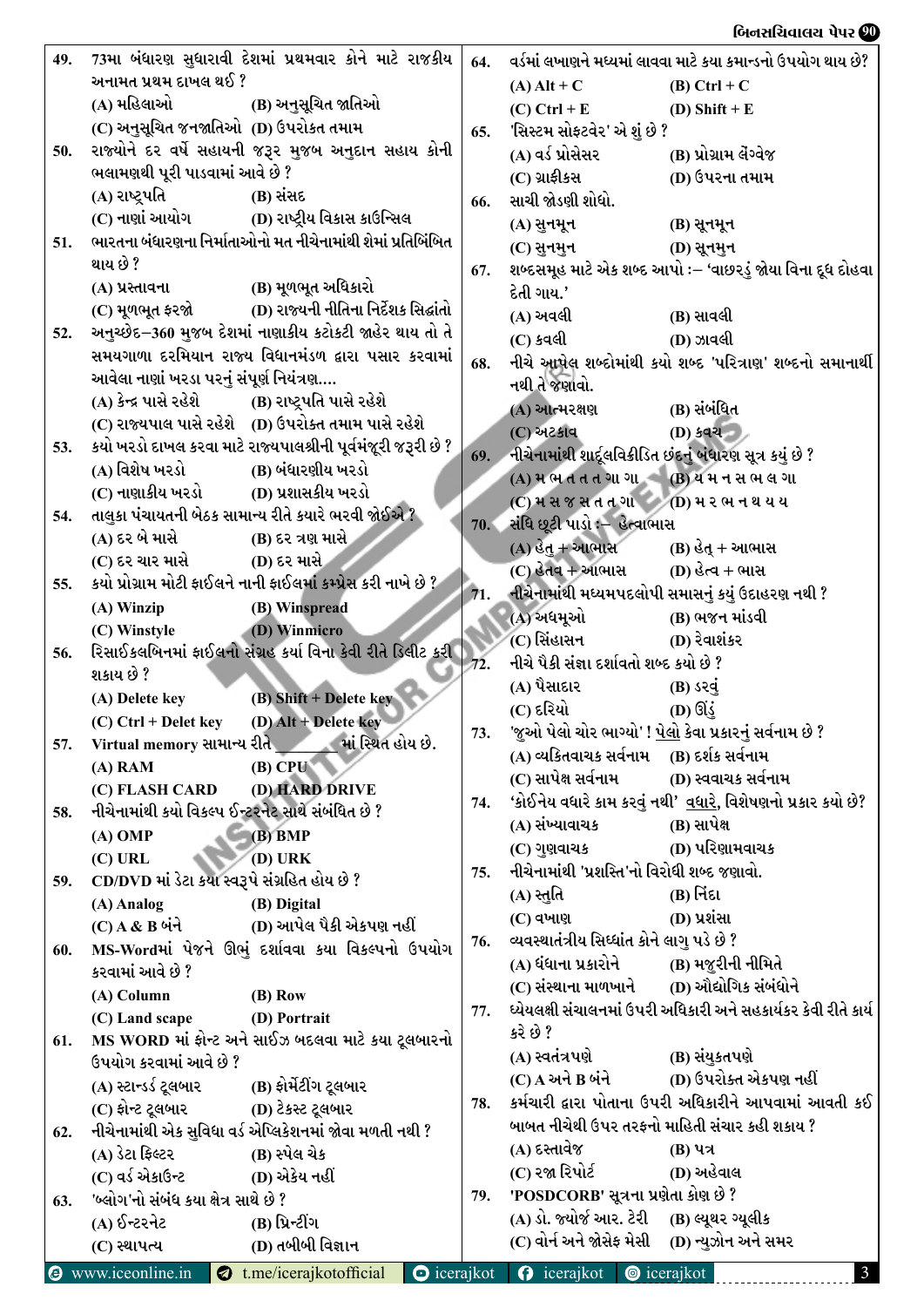### બિનસચિવાલય પેપર **છી**

| 49. | 73મા બંધારણ સુધારાવી દેશમાં પ્રથમવાર કોને માટે રાજકીય                                        | 64. | વર્ડમાં લખાણને મધ્યમાં લાવવા માટે કયા કમાન્ડનો ઉપયોગ થાય છે?       |  |  |  |
|-----|----------------------------------------------------------------------------------------------|-----|--------------------------------------------------------------------|--|--|--|
|     | અનામત પ્રથમ દાખલ થઈ ?                                                                        |     | $(A)$ Alt + C<br>$(B)$ Ctrl + C                                    |  |  |  |
|     |                                                                                              |     | $(C)$ Ctrl + E<br>(D) Shift + $E$                                  |  |  |  |
|     | (C) અનુસૂચિત જનજાતિઓ  (D) ઉપરોકત તમામ                                                        | 65. | 'સિસ્ટમ સોફ્ટવેર' એ શું છે ?                                       |  |  |  |
| 50. | રાજ્યોને દર વર્ષે સહાયની જરૂર મુજબ અનુદાન સહાય કોની                                          |     | (A) વર્ડ પ્રોસેસર<br>(B) પ્રોગ્રામ લેંગ્વેજ                        |  |  |  |
|     | ભલામણથી પૂરી પાડવામાં આવે છે ?                                                               |     | (C) ગ્રાફીકસ<br>(D) ઉપરના તમામ                                     |  |  |  |
|     | (A) રાષ્ટ્રપતિ<br>(B) સંસદ                                                                   | 66. | સાચી જોડણી શોધો.                                                   |  |  |  |
|     |                                                                                              |     | (A) સુનમૂન<br>(B) સૂનમૂન                                           |  |  |  |
| 51. | ભારતના બંધારણના નિર્માતાઓનો મત નીચેનામાંથી શેમાં પ્રતિબિંબિત                                 |     | (C) સુનમુન<br><b>(D) સૂનમુન</b>                                    |  |  |  |
|     | થાય છે ?                                                                                     | 67. | શબ્દસમૂહ માટે એક શબ્દ આપો :– 'વાછરડું જોયા વિના દૂધ દોહવા          |  |  |  |
|     | (B) મૂળભૂત અધિકારો<br>(A) પ્રસ્તાવના                                                         |     | દેતી ગાય.'                                                         |  |  |  |
|     | (C) મૂળભૂત ફરજો (D) રાજ્યની નીતિના નિર્દેશક સિદ્ધાંતો                                        |     | (A) અવલી<br>(B) સાવલી                                              |  |  |  |
| 52. | અનુચ્છેદ–360 મુજબ દેશમાં નાણાકીય કટોકટી જાહેર થાય તો તે                                      |     | (C) કવલી<br>(D) ઝાવલી                                              |  |  |  |
|     | સમયગાળા દરમિયાન રાજ્ય વિધાનમંડળ દ્વારા પસાર કરવામાં                                          | 68. | નીચે આપેલ શબ્દોમાંથી કયો શબ્દ 'પરિત્રાણ' શબ્દનો સમાનાર્થી          |  |  |  |
|     | આવેલા નાણાં ખરડા પરનું સંપૂર્ણ નિયંત્રણ                                                      |     | નથી તે જણાવો.                                                      |  |  |  |
|     | (A) કેન્દ્ર પાસે રહેશે (B) રાષ્ટ્રપતિ પાસે રહેશે                                             |     | (A) આત્મરક્ષણ<br>(B) સંબંધિત                                       |  |  |  |
|     | (C) રાજ્યપાલ પાસે રહેશે (D) ઉપરોક્ત તમામ પાસે રહેશે                                          |     | (C) અટકાવ<br>(D) કવચ                                               |  |  |  |
| 53. | કયો ખરડો દાખલ કરવા માટે રાજ્યપાલશ્રીની પૂર્વમંજૂરી જરૂરી છે ?                                |     | 69. નીચેનામાંથી શાદૂલવિક્રીડિત છંદનું બંધારણ સૂત્ર કયું છે ?       |  |  |  |
|     | (A) વિશેષ ખરડો (B) બંધારણીય ખરડો                                                             |     | (A) મ ભ ત ત ત ગા ગા (B) ય મ ન સ ભ લ ગા                             |  |  |  |
|     | (C) નાણાકીય ખરડો (D) પ્રશાસકીય ખરડો                                                          |     | $(C)$ મસજસતતગા $(D)$ મરભનથયય                                       |  |  |  |
| 54. | તાલુકા પંચાયતની બેઠક સામાન્ય રીતે કયારે ભરવી જોઈએ ?                                          |     | 70. સંધિ છૂટી પાડો :– હેત્વાભાસ                                    |  |  |  |
|     | (A) દર બે માસે<br>(B) દર ત્રણ માસે                                                           |     | $(A)$ હેતુ + આભાસ $(B)$ હેતુ + આભાસ                                |  |  |  |
|     | (C) દર ચાર માસે (D) દર માસે<br>કયો પ્રોગ્રામ મોટી ફાઈલને નાની ફાઈલમાં કમ્પ્રેસ કરી નાખે છે ? |     | (C) હેતવ + આભાસ (D) હેત્વ + ભાસ                                    |  |  |  |
| 55. |                                                                                              | 71. | નીચેનામાંથી મધ્યમપદલોપી સમાસનું કયું ઉદાહરણ નથી ?                  |  |  |  |
|     | (A) Winzip<br>(B) Winspread<br>(D) Winmicro<br>(C) Winstyle                                  |     | (A) અધમૂઓ<br>(B) ભજન માંડવી                                        |  |  |  |
| 56. | રિસાઈકલબિનમાં ફાઈલનો સંગ્રહ કર્યા વિના કેવી રીતે ડિલીટ કરી                                   |     | (C) સિંહાસન<br>(D) રેવાશંકર                                        |  |  |  |
|     | શકાય છે ?                                                                                    | 72. | નીચે પૈકી સંજ્ઞા દર્શાવતો શબ્દ કયો છે ?                            |  |  |  |
|     | (A) Delete key (B) Shift + Delete key                                                        |     | (A) પૈસાદાર<br>$(B)$ sig                                           |  |  |  |
|     | $(C)$ Ctrl + Delet key $(D)$ Alt + Delete key                                                |     | (C) દરિયો<br>$(D)$ ઊંડું                                           |  |  |  |
|     | 57. Virtual memory સામાન્ય રીતે માં સ્થિત હોય છે.                                            | 73. | 'જુઓ પેલો ચોર ભાગ્યો' ! <u>પેલો</u> કેવા પ્રકારનું સર્વનામ છે ?    |  |  |  |
|     | $(B)$ CPU<br>$(A)$ RAM                                                                       |     | (A) વ્યકિતવાચક સર્વનામ     (B) દર્શક સર્વનામ                       |  |  |  |
|     | (D) HARD DRIVE<br>(C) FLASH CARD                                                             |     | (C) સાપેક્ષ સર્વનામ<br>(D) સ્વવાચક સર્વનામ                         |  |  |  |
| 58. | નીચેનામાંથી કયો વિકલ્પ ઈન્ટરનેટ સાથે સંબંધિત છે ?                                            | 74. | 'કોઈનેય વધારે કામ કરવું નથી' <u>વધારે,</u> વિશેષણનો પ્રકાર કયો છે? |  |  |  |
|     | $(B)$ BMP<br>$(A)$ OMP                                                                       |     | (A) સંખ્યાવાચક<br>(B) સાપેક્ષ                                      |  |  |  |
|     | $(D)$ URK<br>$(C)$ URL                                                                       |     | (D) પરિણામવાચક<br>(C) ગુણવાચક                                      |  |  |  |
| 59. | CD/DVD માં ડેટા કયા સ્વરૂપે સંગ્રહિત હોય છે ?                                                | 75. | નીચેનામાંથી 'પ્રશસ્તિ'નો વિરોધી શબ્દ જણાવો.                        |  |  |  |
|     | (A) Analog<br>(B) Digital                                                                    |     | (A) સ્તુતિ<br>(B) નિંદા                                            |  |  |  |
|     | (D) આપેલ પૈકી એકપણ નહીં<br>$(C)$ A & B બંને                                                  |     | (D) પ્રશંસા<br>(C) વખાણ                                            |  |  |  |
| 60. | MS-Wordમાં પેજને ઊભું દર્શાવવા કયા વિકલ્પનો ઉપયોગ                                            | 76. | વ્યવસ્થાતંત્રીય સિધ્ધાંત કોને લાગુ પડે છે ?                        |  |  |  |
|     | કરવામાં આવે છે ?                                                                             |     | (A) ધંધાના પ્રકારોને<br>(B) મજુરીની નીમિતે                         |  |  |  |
|     | (A) Column<br>$(B)$ Row                                                                      |     | (C) સંસ્થાના માળખાને (D) ઔદ્યોગિક સંબંધોને                         |  |  |  |
|     | (C) Land scape<br>(D) Portrait                                                               | 77. | ધ્યેયલક્ષી સંચાલનમાં ઉપરી અધિકારી અને સહકાર્યકર કેવી રીતે કાર્ય    |  |  |  |
| 61. | MS WORD માં ફોન્ટ અને સાઈઝ બદલવા માટે કયા ટૂલબારનો                                           |     | કરે છે ?                                                           |  |  |  |
|     | ઉપયોગ કરવામાં આવે છે ?                                                                       |     | (A) સ્વતંત્રપણે<br>(B) સંયુકતપણે                                   |  |  |  |
|     | (B) ફોર્મેટીંગ ટૂલબાર<br>(A) સ્ટાન્ડર્ડ ટૂલબાર                                               |     | (D) ઉપરોક્ત એકપણ નહીં<br>(C) A અને B બંને                          |  |  |  |
|     | (C) ફોન્ટ ટૂલબાર<br>(D) ટેકસ્ટ ટૂલબાર                                                        | 78. | કર્મચારી દ્વારા પોતાના ઉપરી અધિકારીને આપવામાં આવતી કઈ              |  |  |  |
| 62. | નીચેનામાંથી એક સુવિધા વર્ડ એપ્લિકેશનમાં જોવા મળતી નથી ?                                      |     | બાબત નીચેથી ઉપર તરફનો માહિતી સંચાર કહી શકાય ?                      |  |  |  |
|     | (A) ડેટા ફિલ્ટર<br>(B) સ્પેલ ચેક                                                             |     | (A) દસ્તાવેજ<br>$(B)$ પત્ર                                         |  |  |  |
|     | (C) વર્ડ એકાઉન્ટ<br>(D) એકેય નહીં                                                            |     | (C) રજા રિપોર્ટ<br>(D) અહેવાલ                                      |  |  |  |
| 63. | 'બ્લોગ'નો સંબંધ કયા ક્ષેત્ર સાથે છે ?                                                        | 79. | 'POSDCORB' સૂત્રના પ્રણેતા કોણ છે ?                                |  |  |  |
|     | (A) ઈન્ટરનેટ<br>(B) પ્રિન્ટીંગ                                                               |     | (A) ડો. જ્યોર્જ આર. ટેરી (B) લ્યૂથર ગ્યૂલીક                        |  |  |  |
|     | (D) તબીબી વિજ્ઞાન<br>(C) સ્થાપત્ય                                                            |     | (C) વોર્ન અને જોસેફ મેસી<br>(D) ન્યુઝોન અને સમર                    |  |  |  |
|     | <b>O</b> www.iceonline.in <b>Q</b> t.me/icerajkotofficial<br>$\bullet$ icerajkot             |     | <b>O</b> icerajkot <b>@</b> icerajkot<br>$\mathbf{3}$              |  |  |  |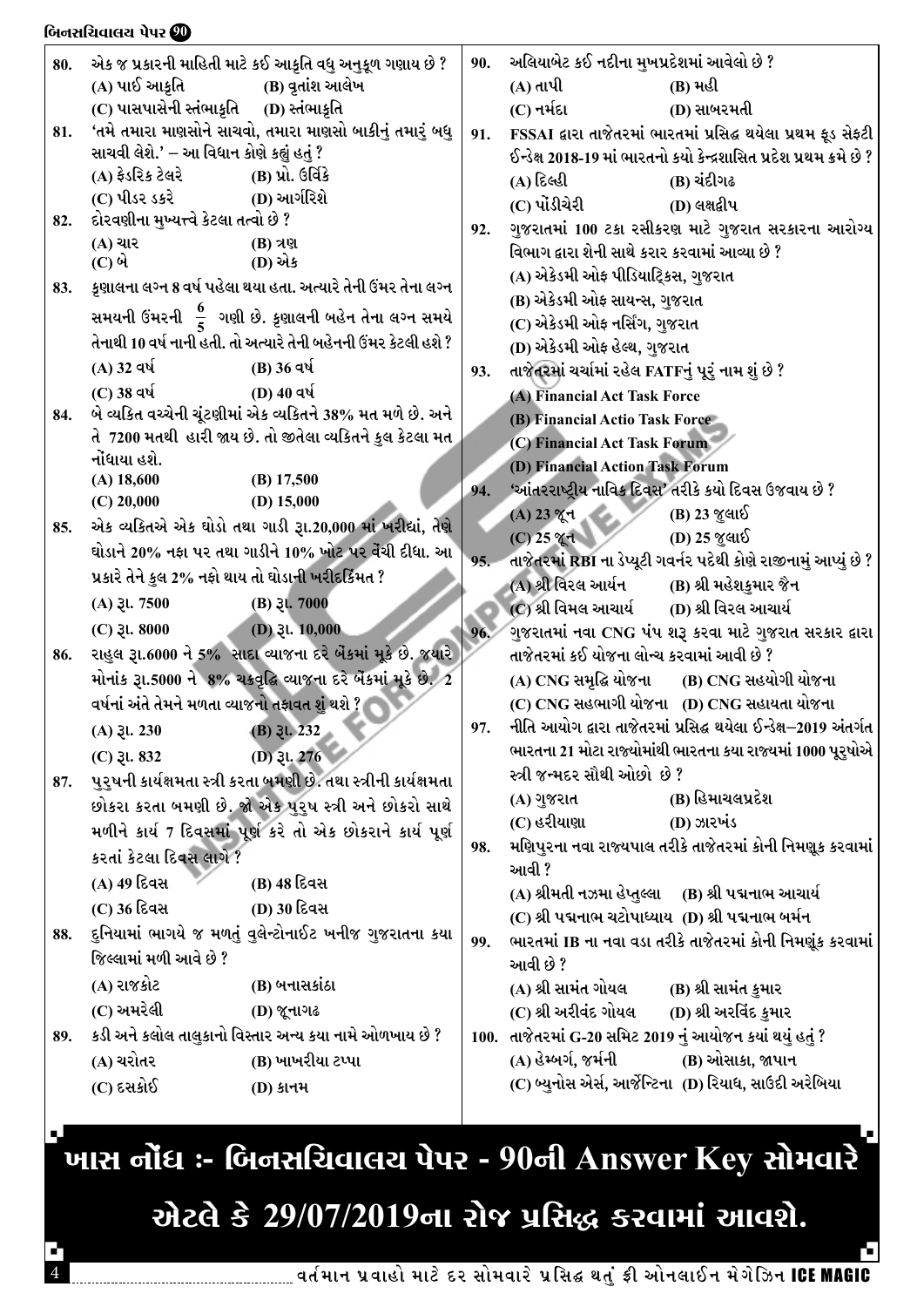#### બિનસચિવાલચ પેપર **છી**

| 80. |                                                   | એક જ પ્રકારની માહિતી માટે કઈ આકૃતિ વધુ અનુકૂળ ગણાય છે ?           | 90. | અલિયાબેટ કઈ નદીના મુખપ્રદેશમાં આવેલો છે ?                    |                                                                      |  |  |
|-----|---------------------------------------------------|-------------------------------------------------------------------|-----|--------------------------------------------------------------|----------------------------------------------------------------------|--|--|
|     | (A) પાઈ આક્રતિ                                    | (B) વ્રતાંશ આલેખ                                                  |     | $(A)$ તાપી                                                   | (B) મહી                                                              |  |  |
|     | (C) પાસપાસેની સ્તંભાકૃતિ (D) સ્તંભાકૃતિ           |                                                                   |     | (C) નર્મદા                                                   | (D) સાબરમતી                                                          |  |  |
| 81. |                                                   | 'તમે તમારા માણસોને સાચવો, તમારા માણસો બાકીનું તમારું બધુ          | 91. |                                                              | FSSAI દ્વારા તાજેતરમાં ભારતમાં પ્રસિદ્ધ થયેલા પ્રથમ ફૂડ સેફ્ટી       |  |  |
|     | સાચવી લેશે.' – આ વિધાન કોણે કહ્યું હતું ?         |                                                                   |     |                                                              | ઈન્ડેક્ષ 2018-19 માં ભારતનો કયો કેન્દ્રશાસિત પ્રદેશ પ્રથમ ક્રમે છે ? |  |  |
|     | (A) ફ્રેડરિક ટેલરે                                | (B) પ્રો. ઉર્વિકે                                                 |     | (A) દિલ્હી                                                   | (B) ચંદીગઢ                                                           |  |  |
|     | (C) પીડર ડકરે                                     | (D) આર્ગરિશે                                                      |     | (C) પોંડીચેરી                                                | (D) લક્ષદ્વીપ                                                        |  |  |
| 82. | દોરવણીના મુખ્યત્ત્વે કેટલા તત્વો છે ?             |                                                                   | 92. |                                                              | ગુજરાતમાં 100 ટકા રસીકરણ માટે ગુજરાત સરકારના આરોગ્ય                  |  |  |
|     | (A) ચાર                                           | (B) ત્રણ                                                          |     | વિભાગ દ્વારા શેની સાથે કરાર કરવામાં આવ્યા છે ?               |                                                                      |  |  |
|     | (C) બે                                            | (D) એક                                                            |     | (A) એકેડમી ઓફ પીડિયાટ્રિકસ, ગુજરાત                           |                                                                      |  |  |
| 83. |                                                   | કૃણાલના લગ્ન 8 વર્ષ પહેલા થયા હતા. અત્યારે તેની ઉંમર તેના લગ્ન    |     | (B) એકેડમી ઓફ સાયન્સ, ગુજરાત                                 |                                                                      |  |  |
|     |                                                   | સમયની ઉંમરની $\frac{6}{5}$ ગણી છે. કૃણાલની બહેન તેના લગ્ન સમયે    |     |                                                              |                                                                      |  |  |
|     |                                                   | તેનાથી 10 વર્ષ નાની હતી. તો અત્યારે તેની બહેનની ઉંમર કેટલી હશે ?  |     | (C) એકેડમી ઓફ નર્સિંગ, ગુજરાત<br>(D) એકેડમી ઓફ હેલ્થ, ગુજરાત |                                                                      |  |  |
|     | (A) 32 વર્ષ                                       | (B) 36 વર્ષ                                                       |     |                                                              |                                                                      |  |  |
|     | (C) 38 વર્ષ                                       | (D) 40 વર્ષ                                                       | 93. | તાજેતરમાં ચર્ચામાં રહેલ FATFનું પૂરું નામ શું છે ?           |                                                                      |  |  |
| 84. |                                                   | બે વ્યકિત વચ્ચેની ચૂંટણીમાં એક વ્યકિતને 38% મત મળે છે. અને        |     | (A) Financial Act Task Force                                 |                                                                      |  |  |
|     |                                                   | તે  7200 મતથી  હારી જાય છે. તો જીતેલા વ્યકિતને કુલ કેટલા મત્      |     | (B) Financial Actio Task Force                               |                                                                      |  |  |
|     | નોંધાયા હશે.                                      |                                                                   |     | (C) Financial Act Task Forum                                 |                                                                      |  |  |
|     | $(A)$ 18,600                                      | $(B)$ 17,500                                                      |     | (D) Financial Action Task Forum                              |                                                                      |  |  |
|     | $(C)$ 20,000                                      | (D) $15,000$                                                      | 94. |                                                              | 'આંતરરાષ્ટ્રીય નાવિક દિવસ' તરીકે કયો દિવસ ઉજવાય છે ?                 |  |  |
| 85. |                                                   | એક વ્યકિતએ એક ઘોડો તથા ગાડી રૂા.20,000 માં ખરીદ્યાં, તેણે         |     | (A) 23 % +                                                   | (B) 23 જુલાઈ                                                         |  |  |
|     |                                                   | ઘોડાને 20% નફા પર તથા ગાડીને 10% ખોટ પર વેંચી દીધા. આ             |     | $(C) 25$ % d                                                 | (D) 25 જુલાઈ                                                         |  |  |
|     | પ્રકારે તેને કુલ 2% નફો થાય તો ઘોડાની ખરીદકિંમત ? |                                                                   | 95. |                                                              | તાજેતરમાં RBI ના ડેપ્યૂટી ગવર્નર પદેથી કોણે રાજીનામું આપ્યું છે ?    |  |  |
|     |                                                   |                                                                   |     | (A) શ્રી વિરલ આર્યન            (B) શ્રી મહેશકુમાર જૈન        |                                                                      |  |  |
|     | $(A)$ $\xi$ l. 7500                               | $(B)$ $\xi$ l. 7000                                               |     | (C) શ્રી વિમલ આચાર્ય (D) શ્રી વિરલ આચાર્ય                    |                                                                      |  |  |
|     | $(C)$ 3l. 8000                                    | (D) $31.10,000$                                                   | 96. |                                                              | ગુજરાતમાં નવા CNG પંપ શરૂ કરવા માટે ગુજરાત સરકાર દ્વારા              |  |  |
| 86. |                                                   | રાહુલ રૂા.6000 ને 5% સાદા વ્યાજના દરે બેંકમાં મૂકે છે. જયારે      |     | તાજેતરમાં કઈ યોજના લોન્ચ કરવામાં આવી છે ?                    |                                                                      |  |  |
|     |                                                   | મોનાંક રૂા.5000 ને 8% ચક્રવૃદ્ધિ વ્યાજના દરે બેંકમાં મૂકે છે. 2   |     |                                                              | (A) CNG સમૃદ્ધિ યોજના (B) CNG સહયોગી યોજના                           |  |  |
|     | વર્ષનાં અંતે તેમને મળતા વ્યાજનો તફાવત શું થશે ?   |                                                                   |     |                                                              | (C) CNG સહભાગી યોજના (D) CNG સહાયતા યોજના                            |  |  |
|     | $(A)$ $\xi$ l. 230                                | $(B)$ 3l. 232                                                     | 97. |                                                              | નીતિ આયોગ દ્વારા તાજેતરમાં પ્રસિદ્ધ થયેલા ઈન્ડેક્ષ–2019 અંતર્ગત      |  |  |
|     | $(C)$ 3l. 832                                     | (D) $31.276$                                                      |     |                                                              | ભારતના 21 મોટા રાજ્યોમાંથી ભારતના કયા રાજ્યમાં 1000 પૂરુષોએ          |  |  |
| 87. |                                                   | પુરુષની કાર્યક્ષમતા સ્ત્રી કરતા બમણી છે. તથા સ્ત્રીની કાર્યક્ષમતા |     | સ્ત્રી જન્મદર સૌથી ઓછો છે ?                                  |                                                                      |  |  |
|     |                                                   | છોકરા કરતા બમણી છે. જો એક પુરુષ સ્ત્રી અને છોકરો સાથે             |     | (A) ગુજરાત                                                   | (B) હિમાચલપ્રદેશ                                                     |  |  |
|     |                                                   | મળીને કાર્ય7 દિવસમાં પૂર્ણ કરે તો એક છોકરાને કાર્ય પૂર્ણ          |     | (C) હરીયાણા                                                  | (D) ઝારખંડ                                                           |  |  |
|     | કરતાં કેટલા દિવસ લાગે ?                           |                                                                   | 98. |                                                              | મણિપુરના નવા રાજ્યપાલ તરીકે તાજેતરમાં કોની નિમણૂક કરવામાં            |  |  |
|     | (A) 49 દિવસ                                       | (B) 48 દિવસ                                                       |     | આવી ?                                                        |                                                                      |  |  |
|     | (C) 36 દિવસ                                       | (D) 30 દિવસ                                                       |     | (A) શ્રીમતી નઝમા હેપ્તુલ્લા      (B) શ્રી પદ્મનાભ આચાર્ય     |                                                                      |  |  |
|     |                                                   |                                                                   |     | (C) શ્રી પદ્મનાભ ચટોપાધ્યાય (D) શ્રી પદ્મનાભ બર્મન           |                                                                      |  |  |
| 88. |                                                   | દુનિયામાં ભાગયે જ મળતું વુલેન્ટોનાઈટ ખનીજ ગુજરાતના કયા            | 99. |                                                              | ભારતમાં IB ના નવા વડા તરીકે તાજેતરમાં કોની નિમણૂંક કરવામાં           |  |  |
|     | જિલ્લામાં મળી આવે છે ?                            |                                                                   |     | આવી છે ?                                                     |                                                                      |  |  |
|     | (A) રાજકોટ                                        | (B) બનાસકાંઠા                                                     |     | (A) શ્રી સામંત ગોયલ                                          | (B) શ્રી સામંત કુમાર                                                 |  |  |
|     | (C) અમરેલી                                        | (D) જૂનાગઢ                                                        |     | (C) શ્રી અરીવંદ ગોયલ                                         | (D) શ્રી અરવિંદ કુમાર                                                |  |  |
| 89. |                                                   | કડી અને કલોલ તાલુકાનો વિસ્તાર અન્ય કયા નામે ઓળખાય છે ?            |     | 100. તાજેતરમાં G-20 સમિટ 2019 નું આયોજન કયાં થયું હતું ?     |                                                                      |  |  |
|     | (A) ચરોતર                                         | (B) ખાખરીયા ટપ્પા                                                 |     | (A) હેમ્બર્ગ, જર્મની (B) ઓસાકા, જાપાન                        |                                                                      |  |  |
|     | (C) દસકોઈ                                         | <b>(D) કાનમ</b>                                                   |     |                                                              | (C) બ્યુનોસ એર્સ, આર્જેન્ટિના (D) રિયાધ, સાઉદી અરેબિયા               |  |  |
|     |                                                   |                                                                   |     |                                                              |                                                                      |  |  |

.<br>ખાસ નોંધ :- બિનસચિવાલય પેપર - 90ની Answer Key સોમવારે <sup>-</sup>

# એટલે કે 29/07/2019ના રોજ પ્રસિદ્ધ કરવામાં આવશે.

٦.